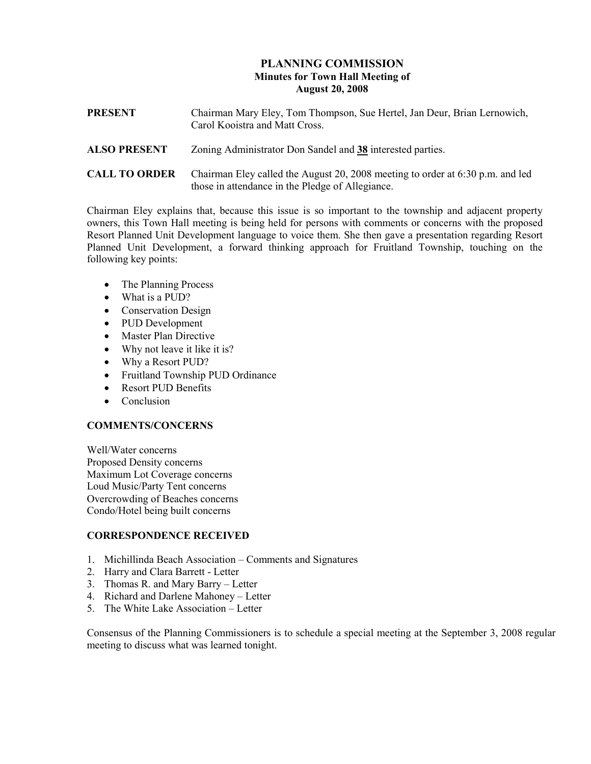## PLANNING COMMISSION Minutes for Town Hall Meeting of August 20, 2008

| <b>PRESENT</b>       | Chairman Mary Eley, Tom Thompson, Sue Hertel, Jan Deur, Brian Lernowich,<br>Carol Kooistra and Matt Cross.                         |
|----------------------|------------------------------------------------------------------------------------------------------------------------------------|
| <b>ALSO PRESENT</b>  | Zoning Administrator Don Sandel and 38 interested parties.                                                                         |
| <b>CALL TO ORDER</b> | Chairman Eley called the August 20, 2008 meeting to order at 6:30 p.m. and led<br>those in attendance in the Pledge of Allegiance. |

Chairman Eley explains that, because this issue is so important to the township and adjacent property owners, this Town Hall meeting is being held for persons with comments or concerns with the proposed Resort Planned Unit Development language to voice them. She then gave a presentation regarding Resort Planned Unit Development, a forward thinking approach for Fruitland Township, touching on the following key points:

- The Planning Process
- What is a PUD?
- Conservation Design
- PUD Development
- Master Plan Directive
- Why not leave it like it is?
- Why a Resort PUD?
- Fruitland Township PUD Ordinance
- Resort PUD Benefits
- Conclusion

## COMMENTS/CONCERNS

Well/Water concerns Proposed Density concerns Maximum Lot Coverage concerns Loud Music/Party Tent concerns Overcrowding of Beaches concerns Condo/Hotel being built concerns

## CORRESPONDENCE RECEIVED

- 1. Michillinda Beach Association Comments and Signatures
- 2. Harry and Clara Barrett Letter
- 3. Thomas R. and Mary Barry Letter
- 4. Richard and Darlene Mahoney Letter
- 5. The White Lake Association Letter

Consensus of the Planning Commissioners is to schedule a special meeting at the September 3, 2008 regular meeting to discuss what was learned tonight.